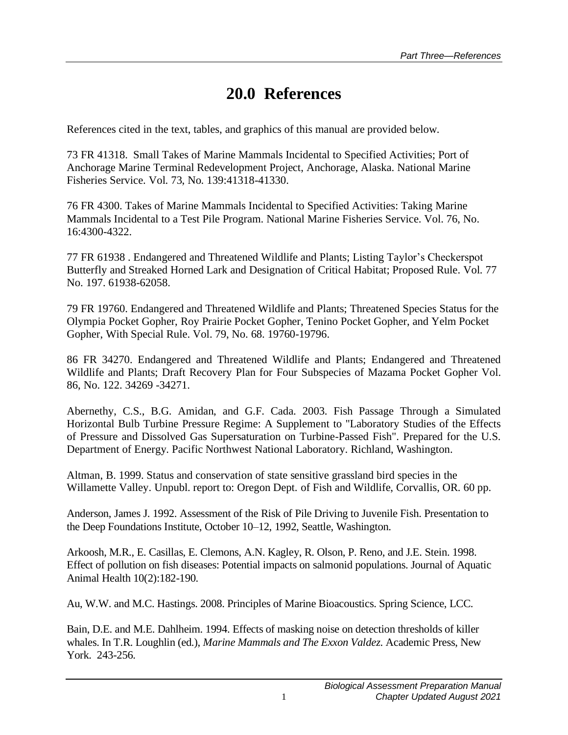## **20.0 References**

References cited in the text, tables, and graphics of this manual are provided below.

73 FR 41318. Small Takes of Marine Mammals Incidental to Specified Activities; Port of Anchorage Marine Terminal Redevelopment Project, Anchorage, Alaska. National Marine Fisheries Service. Vol. 73, No. 139:41318-41330.

76 FR 4300. Takes of Marine Mammals Incidental to Specified Activities: Taking Marine Mammals Incidental to a Test Pile Program. National Marine Fisheries Service. Vol. 76, No. 16:4300-4322.

77 FR 61938 . Endangered and Threatened Wildlife and Plants; Listing Taylor's Checkerspot Butterfly and Streaked Horned Lark and Designation of Critical Habitat; Proposed Rule. Vol. 77 No. 197. 61938-62058.

79 FR 19760. Endangered and Threatened Wildlife and Plants; Threatened Species Status for the Olympia Pocket Gopher, Roy Prairie Pocket Gopher, Tenino Pocket Gopher, and Yelm Pocket Gopher, With Special Rule. Vol. 79, No. 68. 19760-19796.

86 FR 34270. Endangered and Threatened Wildlife and Plants; Endangered and Threatened Wildlife and Plants; Draft Recovery Plan for Four Subspecies of Mazama Pocket Gopher Vol. 86, No. 122. 34269 -34271.

Abernethy, C.S., B.G. Amidan, and G.F. Cada. 2003. Fish Passage Through a Simulated Horizontal Bulb Turbine Pressure Regime: A Supplement to "Laboratory Studies of the Effects of Pressure and Dissolved Gas Supersaturation on Turbine-Passed Fish". Prepared for the U.S. Department of Energy. Pacific Northwest National Laboratory. Richland, Washington.

Altman, B. 1999. Status and conservation of state sensitive grassland bird species in the Willamette Valley. Unpubl. report to: Oregon Dept. of Fish and Wildlife, Corvallis, OR. 60 pp.

Anderson, James J. 1992. Assessment of the Risk of Pile Driving to Juvenile Fish. Presentation to the Deep Foundations Institute, October 10–12, 1992, Seattle, Washington.

Arkoosh, M.R., E. Casillas, E. Clemons, A.N. Kagley, R. Olson, P. Reno, and J.E. Stein. 1998. Effect of pollution on fish diseases: Potential impacts on salmonid populations. Journal of Aquatic Animal Health 10(2):182-190.

Au, W.W. and M.C. Hastings. 2008. Principles of Marine Bioacoustics. Spring Science, LCC.

Bain, D.E. and M.E. Dahlheim. 1994. Effects of masking noise on detection thresholds of killer whales. In T.R. Loughlin (ed.), *Marine Mammals and The Exxon Valdez*. Academic Press, New York. 243-256.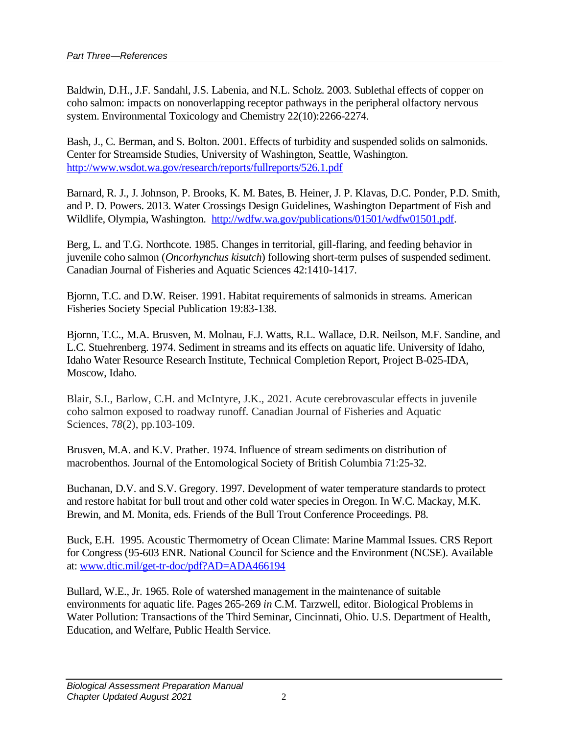Baldwin, D.H., J.F. Sandahl, J.S. Labenia, and N.L. Scholz. 2003. Sublethal effects of copper on coho salmon: impacts on nonoverlapping receptor pathways in the peripheral olfactory nervous system. Environmental Toxicology and Chemistry 22(10):2266-2274.

Bash, J., C. Berman, and S. Bolton. 2001. Effects of turbidity and suspended solids on salmonids. Center for Streamside Studies, University of Washington, Seattle, Washington. <http://www.wsdot.wa.gov/research/reports/fullreports/526.1.pdf>

Barnard, R. J., J. Johnson, P. Brooks, K. M. Bates, B. Heiner, J. P. Klavas, D.C. Ponder, P.D. Smith, and P. D. Powers. 2013. Water Crossings Design Guidelines, Washington Department of Fish and Wildlife, Olympia, Washington. [http://wdfw.wa.gov/publications/01501/wdfw01501.pdf.](http://wdfw.wa.gov/publications/01501/wdfw01501.pdf)

Berg, L. and T.G. Northcote. 1985. Changes in territorial, gill-flaring, and feeding behavior in juvenile coho salmon (*Oncorhynchus kisutch*) following short-term pulses of suspended sediment. Canadian Journal of Fisheries and Aquatic Sciences 42:1410-1417.

Bjornn, T.C. and D.W. Reiser. 1991. Habitat requirements of salmonids in streams. American Fisheries Society Special Publication 19:83-138.

Bjornn, T.C., M.A. Brusven, M. Molnau, F.J. Watts, R.L. Wallace, D.R. Neilson, M.F. Sandine, and L.C. Stuehrenberg. 1974. Sediment in streams and its effects on aquatic life. University of Idaho, Idaho Water Resource Research Institute, Technical Completion Report, Project B-025-IDA, Moscow, Idaho.

Blair, S.I., Barlow, C.H. and McIntyre, J.K., 2021. Acute cerebrovascular effects in juvenile coho salmon exposed to roadway runoff. Canadian Journal of Fisheries and Aquatic Sciences, 7*8*(2), pp.103-109.

Brusven, M.A. and K.V. Prather. 1974. Influence of stream sediments on distribution of macrobenthos. Journal of the Entomological Society of British Columbia 71:25-32.

Buchanan, D.V. and S.V. Gregory. 1997. Development of water temperature standards to protect and restore habitat for bull trout and other cold water species in Oregon. In W.C. Mackay, M.K. Brewin, and M. Monita, eds. Friends of the Bull Trout Conference Proceedings. P8.

Buck, E.H. 1995. Acoustic Thermometry of Ocean Climate: Marine Mammal Issues. CRS Report for Congress (95-603 ENR. National Council for Science and the Environment (NCSE). Available at: [www.dtic.mil/get-tr-doc/pdf?AD=ADA466194](http://www.dtic.mil/get-tr-doc/pdf?AD=ADA466194)

Bullard, W.E., Jr. 1965. Role of watershed management in the maintenance of suitable environments for aquatic life. Pages 265-269 *in* C.M. Tarzwell, editor. Biological Problems in Water Pollution: Transactions of the Third Seminar, Cincinnati, Ohio. U.S. Department of Health, Education, and Welfare, Public Health Service.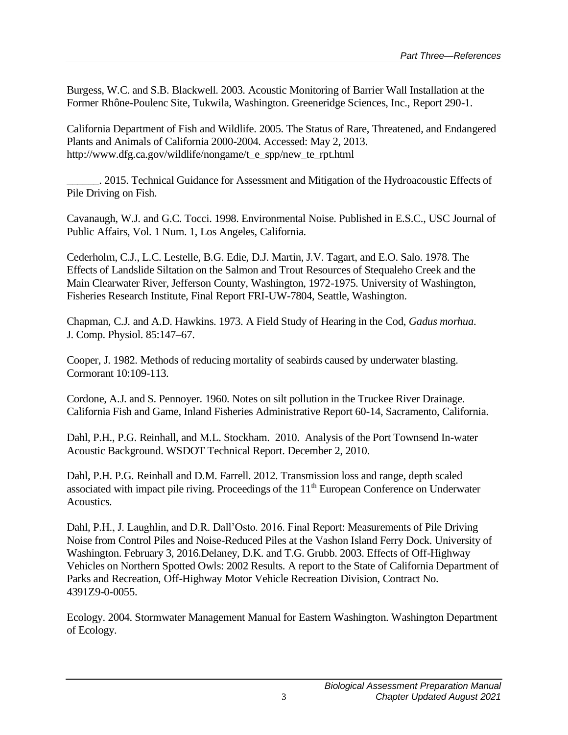Burgess, W.C. and S.B. Blackwell. 2003. Acoustic Monitoring of Barrier Wall Installation at the Former Rhône-Poulenc Site, Tukwila, Washington. Greeneridge Sciences, Inc., Report 290-1.

California Department of Fish and Wildlife. 2005. The Status of Rare, Threatened, and Endangered Plants and Animals of California 2000-2004. Accessed: May 2, 2013. http://www.dfg.ca.gov/wildlife/nongame/t\_e\_spp/new\_te\_rpt.html

\_\_\_\_\_\_. 2015. Technical Guidance for Assessment and Mitigation of the Hydroacoustic Effects of Pile Driving on Fish.

Cavanaugh, W.J. and G.C. Tocci. 1998. Environmental Noise. Published in E.S.C., USC Journal of Public Affairs, Vol. 1 Num. 1, Los Angeles, California.

Cederholm, C.J., L.C. Lestelle, B.G. Edie, D.J. Martin, J.V. Tagart, and E.O. Salo. 1978. The Effects of Landslide Siltation on the Salmon and Trout Resources of Stequaleho Creek and the Main Clearwater River, Jefferson County, Washington, 1972-1975. University of Washington, Fisheries Research Institute, Final Report FRI-UW-7804, Seattle, Washington.

Chapman, C.J. and A.D. Hawkins. 1973. A Field Study of Hearing in the Cod, *Gadus morhua*. J. Comp. Physiol. 85:147–67.

Cooper, J. 1982. Methods of reducing mortality of seabirds caused by underwater blasting. Cormorant 10:109-113.

Cordone, A.J. and S. Pennoyer. 1960. Notes on silt pollution in the Truckee River Drainage. California Fish and Game, Inland Fisheries Administrative Report 60-14, Sacramento, California.

Dahl, P.H., P.G. Reinhall, and M.L. Stockham. 2010. Analysis of the Port Townsend In-water Acoustic Background. WSDOT Technical Report. December 2, 2010.

Dahl, P.H. P.G. Reinhall and D.M. Farrell. 2012. Transmission loss and range, depth scaled associated with impact pile riving. Proceedings of the  $11<sup>th</sup>$  European Conference on Underwater Acoustics.

Dahl, P.H., J. Laughlin, and D.R. Dall'Osto. 2016. Final Report: Measurements of Pile Driving Noise from Control Piles and Noise-Reduced Piles at the Vashon Island Ferry Dock. University of Washington. February 3, 2016.Delaney, D.K. and T.G. Grubb. 2003. Effects of Off-Highway Vehicles on Northern Spotted Owls: 2002 Results. A report to the State of California Department of Parks and Recreation, Off-Highway Motor Vehicle Recreation Division, Contract No. 4391Z9-0-0055.

Ecology. 2004. Stormwater Management Manual for Eastern Washington. Washington Department of Ecology.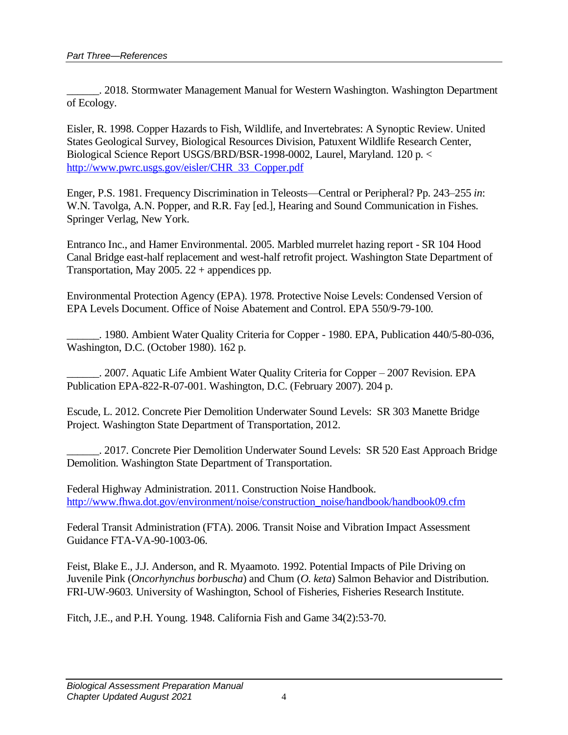\_\_\_\_\_\_. 2018. Stormwater Management Manual for Western Washington. Washington Department of Ecology.

Eisler, R. 1998. Copper Hazards to Fish, Wildlife, and Invertebrates: A Synoptic Review. United States Geological Survey, Biological Resources Division, Patuxent Wildlife Research Center, Biological Science Report USGS/BRD/BSR-1998-0002, Laurel, Maryland. 120 p. < [http://www.pwrc.usgs.gov/eisler/CHR\\_33\\_Copper.pdf](http://www.pwrc.usgs.gov/eisler/CHR_33_Copper.pdf)

Enger, P.S. 1981. Frequency Discrimination in Teleosts—Central or Peripheral? Pp. 243–255 *in*: W.N. Tavolga, A.N. Popper, and R.R. Fay [ed.], Hearing and Sound Communication in Fishes. Springer Verlag, New York.

Entranco Inc., and Hamer Environmental. 2005. Marbled murrelet hazing report - SR 104 Hood Canal Bridge east-half replacement and west-half retrofit project. Washington State Department of Transportation, May 2005. 22 + appendices pp.

Environmental Protection Agency (EPA). 1978. Protective Noise Levels: Condensed Version of EPA Levels Document. Office of Noise Abatement and Control. EPA 550/9-79-100.

\_\_\_\_\_\_. 1980. Ambient Water Quality Criteria for Copper - 1980. EPA, Publication 440/5-80-036, Washington, D.C. (October 1980). 162 p.

\_\_\_\_\_\_. 2007. Aquatic Life Ambient Water Quality Criteria for Copper – 2007 Revision. EPA Publication EPA-822-R-07-001. Washington, D.C. (February 2007). 204 p.

Escude, L. 2012. Concrete Pier Demolition Underwater Sound Levels: SR 303 Manette Bridge Project. Washington State Department of Transportation, 2012.

\_\_\_\_\_\_. 2017. Concrete Pier Demolition Underwater Sound Levels: SR 520 East Approach Bridge Demolition. Washington State Department of Transportation.

Federal Highway Administration. 2011. Construction Noise Handbook. [http://www.fhwa.dot.gov/environment/noise/construction\\_noise/handbook/handbook09.cfm](http://www.fhwa.dot.gov/environment/noise/construction_noise/handbook/handbook09.cfm)

Federal Transit Administration (FTA). 2006. Transit Noise and Vibration Impact Assessment Guidance FTA-VA-90-1003-06.

Feist, Blake E., J.J. Anderson, and R. Myaamoto. 1992. Potential Impacts of Pile Driving on Juvenile Pink (*Oncorhynchus borbuscha*) and Chum (*O. keta*) Salmon Behavior and Distribution. FRI-UW-9603. University of Washington, School of Fisheries, Fisheries Research Institute.

Fitch, J.E., and P.H. Young. 1948. California Fish and Game 34(2):53-70.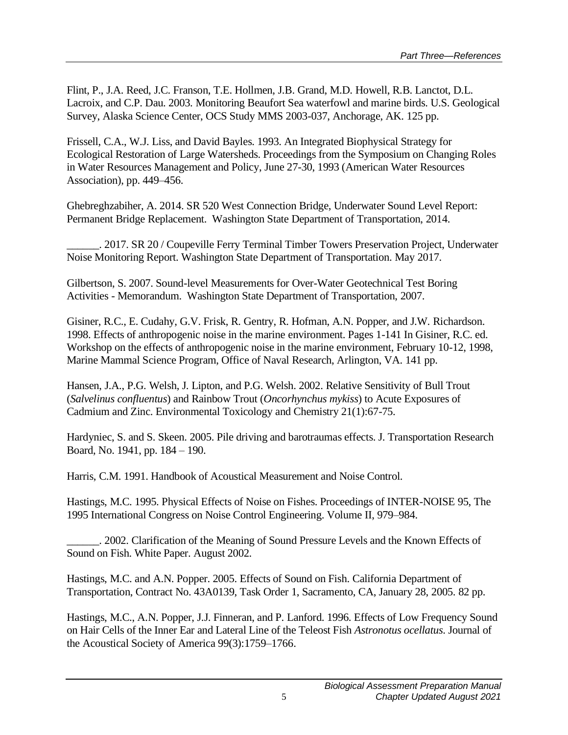Flint, P., J.A. Reed, J.C. Franson, T.E. Hollmen, J.B. Grand, M.D. Howell, R.B. Lanctot, D.L. Lacroix, and C.P. Dau. 2003. Monitoring Beaufort Sea waterfowl and marine birds. U.S. Geological Survey, Alaska Science Center, OCS Study MMS 2003-037, Anchorage, AK. 125 pp.

Frissell, C.A., W.J. Liss, and David Bayles. 1993. An Integrated Biophysical Strategy for Ecological Restoration of Large Watersheds. Proceedings from the Symposium on Changing Roles in Water Resources Management and Policy, June 27-30, 1993 (American Water Resources Association), pp. 449–456.

Ghebreghzabiher, A. 2014. SR 520 West Connection Bridge, Underwater Sound Level Report: Permanent Bridge Replacement. Washington State Department of Transportation, 2014.

\_\_\_\_\_\_. 2017. SR 20 / Coupeville Ferry Terminal Timber Towers Preservation Project, Underwater Noise Monitoring Report. Washington State Department of Transportation. May 2017.

Gilbertson, S. 2007. Sound-level Measurements for Over-Water Geotechnical Test Boring Activities - Memorandum. Washington State Department of Transportation, 2007.

Gisiner, R.C., E. Cudahy, G.V. Frisk, R. Gentry, R. Hofman, A.N. Popper, and J.W. Richardson. 1998. Effects of anthropogenic noise in the marine environment. Pages 1-141 In Gisiner, R.C. ed. Workshop on the effects of anthropogenic noise in the marine environment, February 10-12, 1998, Marine Mammal Science Program, Office of Naval Research, Arlington, VA. 141 pp.

Hansen, J.A., P.G. Welsh, J. Lipton, and P.G. Welsh. 2002. Relative Sensitivity of Bull Trout (*Salvelinus confluentus*) and Rainbow Trout (*Oncorhynchus mykiss*) to Acute Exposures of Cadmium and Zinc. Environmental Toxicology and Chemistry 21(1):67-75.

Hardyniec, S. and S. Skeen. 2005. Pile driving and barotraumas effects. J. Transportation Research Board, No. 1941, pp. 184 – 190.

Harris, C.M. 1991. Handbook of Acoustical Measurement and Noise Control.

Hastings, M.C. 1995. Physical Effects of Noise on Fishes. Proceedings of INTER-NOISE 95, The 1995 International Congress on Noise Control Engineering. Volume II, 979–984.

\_\_\_\_\_\_. 2002. Clarification of the Meaning of Sound Pressure Levels and the Known Effects of Sound on Fish. White Paper. August 2002.

Hastings, M.C. and A.N. Popper. 2005. Effects of Sound on Fish. California Department of Transportation, Contract No. 43A0139, Task Order 1, Sacramento, CA, January 28, 2005. 82 pp.

Hastings, M.C., A.N. Popper, J.J. Finneran, and P. Lanford. 1996. Effects of Low Frequency Sound on Hair Cells of the Inner Ear and Lateral Line of the Teleost Fish *Astronotus ocellatus*. Journal of the Acoustical Society of America 99(3):1759–1766.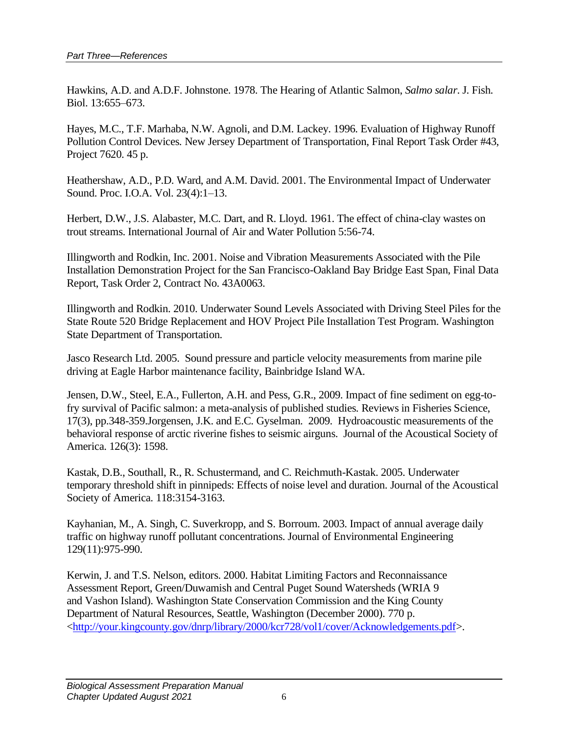Hawkins, A.D. and A.D.F. Johnstone. 1978. The Hearing of Atlantic Salmon, *Salmo salar*. J. Fish. Biol. 13:655–673.

Hayes, M.C., T.F. Marhaba, N.W. Agnoli, and D.M. Lackey. 1996. Evaluation of Highway Runoff Pollution Control Devices. New Jersey Department of Transportation, Final Report Task Order #43, Project 7620. 45 p.

Heathershaw, A.D., P.D. Ward, and A.M. David. 2001. The Environmental Impact of Underwater Sound. Proc. I.O.A. Vol. 23(4):1–13.

Herbert, D.W., J.S. Alabaster, M.C. Dart, and R. Lloyd. 1961. The effect of china-clay wastes on trout streams. International Journal of Air and Water Pollution 5:56-74.

Illingworth and Rodkin, Inc. 2001. Noise and Vibration Measurements Associated with the Pile Installation Demonstration Project for the San Francisco-Oakland Bay Bridge East Span, Final Data Report, Task Order 2, Contract No. 43A0063.

Illingworth and Rodkin. 2010. Underwater Sound Levels Associated with Driving Steel Piles for the State Route 520 Bridge Replacement and HOV Project Pile Installation Test Program. Washington State Department of Transportation.

Jasco Research Ltd. 2005. Sound pressure and particle velocity measurements from marine pile driving at Eagle Harbor maintenance facility, Bainbridge Island WA.

Jensen, D.W., Steel, E.A., Fullerton, A.H. and Pess, G.R., 2009. Impact of fine sediment on egg-tofry survival of Pacific salmon: a meta-analysis of published studies. Reviews in Fisheries Science, 17(3), pp.348-359.Jorgensen, J.K. and E.C. Gyselman. 2009. Hydroacoustic measurements of the behavioral response of arctic riverine fishes to seismic airguns. Journal of the Acoustical Society of America. 126(3): 1598.

Kastak, D.B., Southall, R., R. Schustermand, and C. Reichmuth-Kastak. 2005. Underwater temporary threshold shift in pinnipeds: Effects of noise level and duration. Journal of the Acoustical Society of America. 118:3154-3163.

Kayhanian, M., A. Singh, C. Suverkropp, and S. Borroum. 2003. Impact of annual average daily traffic on highway runoff pollutant concentrations. Journal of Environmental Engineering 129(11):975-990.

Kerwin, J. and T.S. Nelson, editors. 2000. Habitat Limiting Factors and Reconnaissance Assessment Report, Green/Duwamish and Central Puget Sound Watersheds (WRIA 9 and Vashon Island). Washington State Conservation Commission and the King County Department of Natural Resources, Seattle, Washington (December 2000). 770 p. [<http://your.kingcounty.gov/dnrp/library/2000/kcr728/vol1/cover/Acknowledgements.pdf>](http://your.kingcounty.gov/dnrp/library/2000/kcr728/vol1/cover/Acknowledgements.pdf).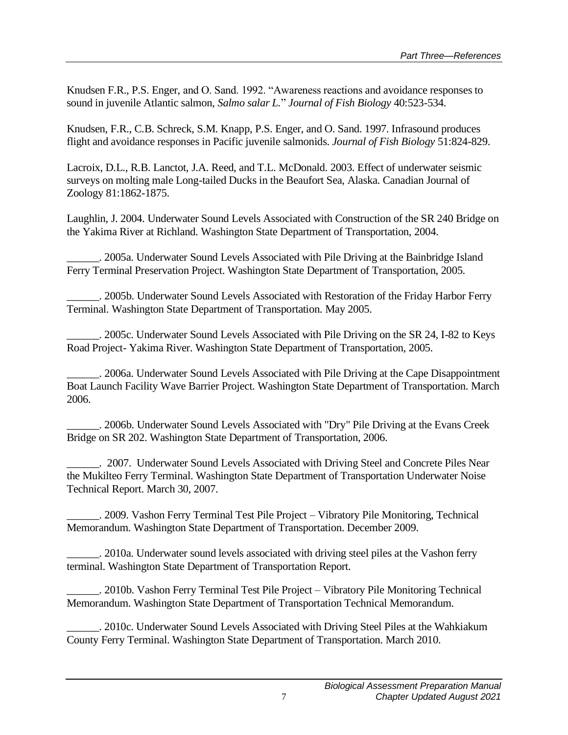Knudsen F.R., P.S. Enger, and O. Sand. 1992. "Awareness reactions and avoidance responses to sound in juvenile Atlantic salmon, *Salmo salar L.*" *Journal of Fish Biology* 40:523-534.

Knudsen, F.R., C.B. Schreck, S.M. Knapp, P.S. Enger, and O. Sand. 1997. Infrasound produces flight and avoidance responses in Pacific juvenile salmonids. *Journal of Fish Biology* 51:824-829.

Lacroix, D.L., R.B. Lanctot, J.A. Reed, and T.L. McDonald. 2003. Effect of underwater seismic surveys on molting male Long-tailed Ducks in the Beaufort Sea, Alaska. Canadian Journal of Zoology 81:1862-1875.

Laughlin, J. 2004. Underwater Sound Levels Associated with Construction of the SR 240 Bridge on the Yakima River at Richland. Washington State Department of Transportation, 2004.

\_\_\_\_\_\_. 2005a. Underwater Sound Levels Associated with Pile Driving at the Bainbridge Island Ferry Terminal Preservation Project. Washington State Department of Transportation, 2005.

\_\_\_\_\_\_. 2005b. Underwater Sound Levels Associated with Restoration of the Friday Harbor Ferry Terminal. Washington State Department of Transportation. May 2005.

\_\_\_\_\_\_. 2005c. Underwater Sound Levels Associated with Pile Driving on the SR 24, I-82 to Keys Road Project- Yakima River. Washington State Department of Transportation, 2005.

\_\_\_\_\_\_. 2006a. Underwater Sound Levels Associated with Pile Driving at the Cape Disappointment Boat Launch Facility Wave Barrier Project. Washington State Department of Transportation. March 2006.

\_\_\_\_\_\_. 2006b. Underwater Sound Levels Associated with "Dry" Pile Driving at the Evans Creek Bridge on SR 202. Washington State Department of Transportation, 2006.

\_\_\_\_\_\_. 2007. Underwater Sound Levels Associated with Driving Steel and Concrete Piles Near the Mukilteo Ferry Terminal. Washington State Department of Transportation Underwater Noise Technical Report. March 30, 2007.

\_\_\_\_\_\_. 2009. Vashon Ferry Terminal Test Pile Project – Vibratory Pile Monitoring, Technical Memorandum. Washington State Department of Transportation. December 2009.

\_\_\_\_\_\_. 2010a. Underwater sound levels associated with driving steel piles at the Vashon ferry terminal. Washington State Department of Transportation Report.

\_\_\_\_\_\_. 2010b. Vashon Ferry Terminal Test Pile Project – Vibratory Pile Monitoring Technical Memorandum. Washington State Department of Transportation Technical Memorandum.

\_\_\_\_\_\_. 2010c. Underwater Sound Levels Associated with Driving Steel Piles at the Wahkiakum County Ferry Terminal. Washington State Department of Transportation. March 2010.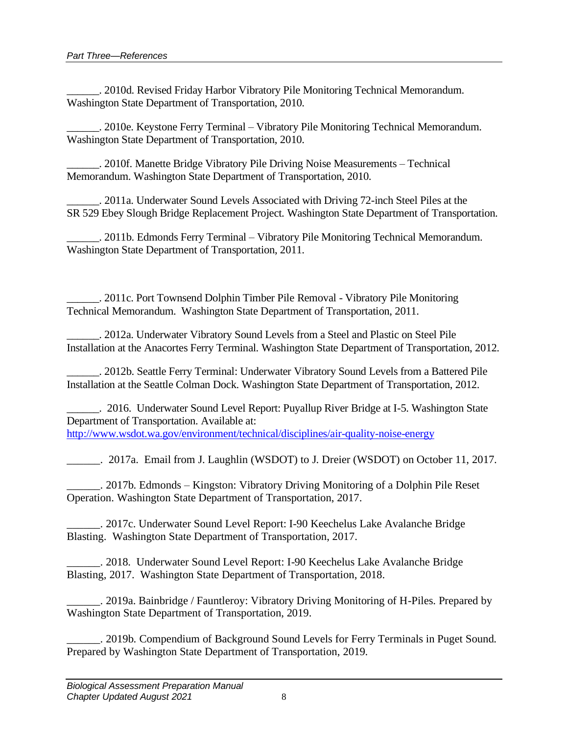\_\_\_\_\_\_. 2010d. Revised Friday Harbor Vibratory Pile Monitoring Technical Memorandum. Washington State Department of Transportation, 2010.

\_\_\_\_\_\_. 2010e. Keystone Ferry Terminal – Vibratory Pile Monitoring Technical Memorandum. Washington State Department of Transportation, 2010.

\_\_\_\_\_\_. 2010f. Manette Bridge Vibratory Pile Driving Noise Measurements – Technical Memorandum. Washington State Department of Transportation, 2010.

\_\_\_\_\_\_. 2011a. Underwater Sound Levels Associated with Driving 72-inch Steel Piles at the SR 529 Ebey Slough Bridge Replacement Project. Washington State Department of Transportation.

\_\_\_\_\_\_. 2011b. Edmonds Ferry Terminal – Vibratory Pile Monitoring Technical Memorandum. Washington State Department of Transportation, 2011.

\_\_\_\_\_\_. 2011c. Port Townsend Dolphin Timber Pile Removal - Vibratory Pile Monitoring Technical Memorandum. Washington State Department of Transportation, 2011.

\_\_\_\_\_\_. 2012a. Underwater Vibratory Sound Levels from a Steel and Plastic on Steel Pile Installation at the Anacortes Ferry Terminal. Washington State Department of Transportation, 2012.

\_\_\_\_\_\_. 2012b. Seattle Ferry Terminal: Underwater Vibratory Sound Levels from a Battered Pile Installation at the Seattle Colman Dock. Washington State Department of Transportation, 2012.

\_\_\_\_\_\_. 2016. Underwater Sound Level Report: Puyallup River Bridge at I-5. Washington State Department of Transportation. Available at: <http://www.wsdot.wa.gov/environment/technical/disciplines/air-quality-noise-energy>

\_\_\_\_\_\_. 2017a. Email from J. Laughlin (WSDOT) to J. Dreier (WSDOT) on October 11, 2017.

\_\_\_\_\_\_. 2017b. Edmonds – Kingston: Vibratory Driving Monitoring of a Dolphin Pile Reset Operation. Washington State Department of Transportation, 2017.

\_\_\_\_\_\_. 2017c. Underwater Sound Level Report: I-90 Keechelus Lake Avalanche Bridge Blasting. Washington State Department of Transportation, 2017.

\_\_\_\_\_\_. 2018. Underwater Sound Level Report: I-90 Keechelus Lake Avalanche Bridge Blasting, 2017. Washington State Department of Transportation, 2018.

\_\_\_\_\_\_. 2019a. Bainbridge / Fauntleroy: Vibratory Driving Monitoring of H-Piles. Prepared by Washington State Department of Transportation, 2019.

\_\_\_\_\_\_. 2019b. Compendium of Background Sound Levels for Ferry Terminals in Puget Sound. Prepared by Washington State Department of Transportation, 2019.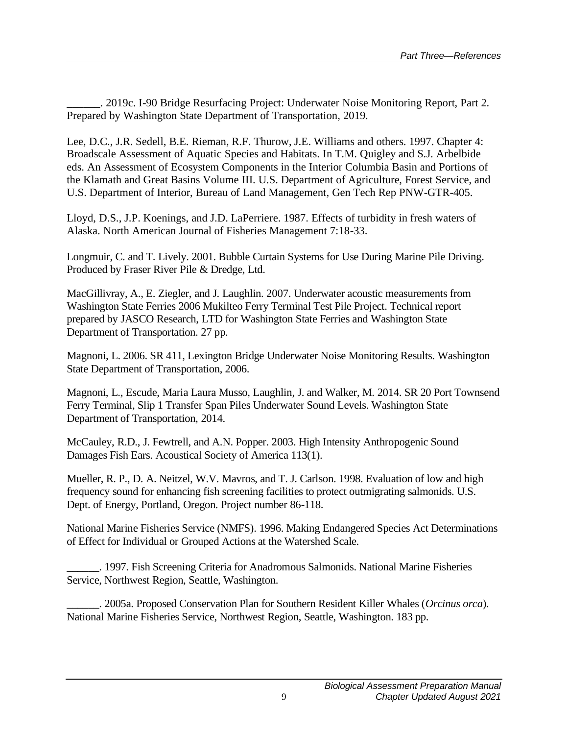\_\_\_\_\_\_. 2019c. I-90 Bridge Resurfacing Project: Underwater Noise Monitoring Report, Part 2. Prepared by Washington State Department of Transportation, 2019.

Lee, D.C., J.R. Sedell, B.E. Rieman, R.F. Thurow, J.E. Williams and others. 1997. Chapter 4: Broadscale Assessment of Aquatic Species and Habitats. In T.M. Quigley and S.J. Arbelbide eds. An Assessment of Ecosystem Components in the Interior Columbia Basin and Portions of the Klamath and Great Basins Volume III. U.S. Department of Agriculture, Forest Service, and U.S. Department of Interior, Bureau of Land Management, Gen Tech Rep PNW-GTR-405.

Lloyd, D.S., J.P. Koenings, and J.D. LaPerriere. 1987. Effects of turbidity in fresh waters of Alaska. North American Journal of Fisheries Management 7:18-33.

Longmuir, C. and T. Lively. 2001. Bubble Curtain Systems for Use During Marine Pile Driving. Produced by Fraser River Pile & Dredge, Ltd.

MacGillivray, A., E. Ziegler, and J. Laughlin. 2007. Underwater acoustic measurements from Washington State Ferries 2006 Mukilteo Ferry Terminal Test Pile Project. Technical report prepared by JASCO Research, LTD for Washington State Ferries and Washington State Department of Transportation. 27 pp.

Magnoni, L. 2006. SR 411, Lexington Bridge Underwater Noise Monitoring Results. Washington State Department of Transportation, 2006.

Magnoni, L., Escude, Maria Laura Musso, Laughlin, J. and Walker, M. 2014. SR 20 Port Townsend Ferry Terminal, Slip 1 Transfer Span Piles Underwater Sound Levels. Washington State Department of Transportation, 2014.

McCauley, R.D., J. Fewtrell, and A.N. Popper. 2003. High Intensity Anthropogenic Sound Damages Fish Ears. Acoustical Society of America 113(1).

Mueller, R. P., D. A. Neitzel, W.V. Mavros, and T. J. Carlson. 1998. Evaluation of low and high frequency sound for enhancing fish screening facilities to protect outmigrating salmonids. U.S. Dept. of Energy, Portland, Oregon. Project number 86-118.

National Marine Fisheries Service (NMFS). 1996. Making Endangered Species Act Determinations of Effect for Individual or Grouped Actions at the Watershed Scale.

\_\_\_\_\_\_. 1997. Fish Screening Criteria for Anadromous Salmonids. National Marine Fisheries Service, Northwest Region, Seattle, Washington.

\_\_\_\_\_\_. 2005a. Proposed Conservation Plan for Southern Resident Killer Whales (*Orcinus orca*). National Marine Fisheries Service, Northwest Region, Seattle, Washington. 183 pp.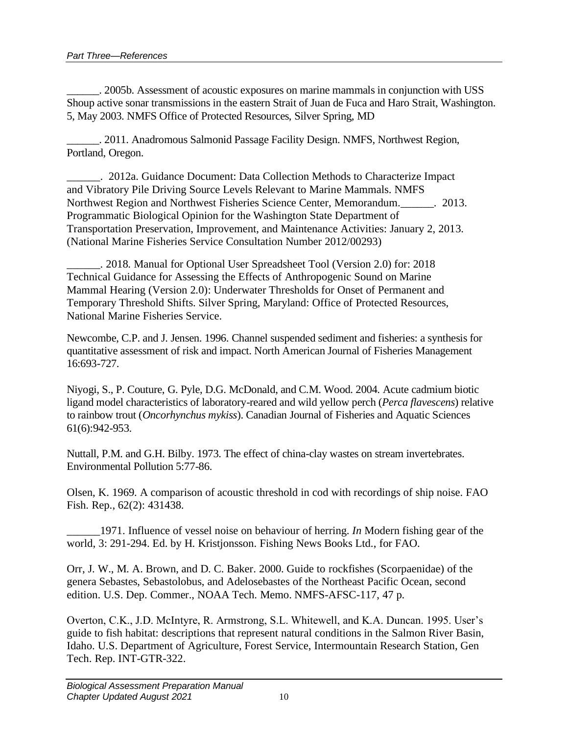\_\_\_\_\_\_. 2005b. Assessment of acoustic exposures on marine mammals in conjunction with USS Shoup active sonar transmissions in the eastern Strait of Juan de Fuca and Haro Strait, Washington. 5, May 2003. NMFS Office of Protected Resources, Silver Spring, MD

\_\_\_\_\_\_. 2011. Anadromous Salmonid Passage Facility Design. NMFS, Northwest Region, Portland, Oregon.

\_\_\_\_\_\_. 2012a. Guidance Document: Data Collection Methods to Characterize Impact and Vibratory Pile Driving Source Levels Relevant to Marine Mammals. NMFS Northwest Region and Northwest Fisheries Science Center, Memorandum.\_\_\_\_\_\_. 2013. Programmatic Biological Opinion for the Washington State Department of Transportation Preservation, Improvement, and Maintenance Activities: January 2, 2013. (National Marine Fisheries Service Consultation Number 2012/00293)

\_\_\_\_\_\_. 2018. Manual for Optional User Spreadsheet Tool (Version 2.0) for: 2018 Technical Guidance for Assessing the Effects of Anthropogenic Sound on Marine Mammal Hearing (Version 2.0): Underwater Thresholds for Onset of Permanent and Temporary Threshold Shifts. Silver Spring, Maryland: Office of Protected Resources, National Marine Fisheries Service.

Newcombe, C.P. and J. Jensen. 1996. Channel suspended sediment and fisheries: a synthesis for quantitative assessment of risk and impact. North American Journal of Fisheries Management 16:693-727.

Niyogi, S., P. Couture, G. Pyle, D.G. McDonald, and C.M. Wood. 2004. Acute cadmium biotic ligand model characteristics of laboratory-reared and wild yellow perch (*Perca flavescens*) relative to rainbow trout (*Oncorhynchus mykiss*). Canadian Journal of Fisheries and Aquatic Sciences 61(6):942-953.

Nuttall, P.M. and G.H. Bilby. 1973. The effect of china-clay wastes on stream invertebrates. Environmental Pollution 5:77-86.

Olsen, K. 1969. A comparison of acoustic threshold in cod with recordings of ship noise. FAO Fish. Rep., 62(2): 431438.

\_\_\_\_\_\_1971. Influence of vessel noise on behaviour of herring. *In* Modern fishing gear of the world, 3: 291-294. Ed. by H. Kristjonsson. Fishing News Books Ltd., for FAO.

Orr, J. W., M. A. Brown, and D. C. Baker. 2000. Guide to rockfishes (Scorpaenidae) of the genera Sebastes, Sebastolobus, and Adelosebastes of the Northeast Pacific Ocean, second edition. U.S. Dep. Commer., NOAA Tech. Memo. NMFS-AFSC-117, 47 p.

Overton, C.K., J.D. McIntyre, R. Armstrong, S.L. Whitewell, and K.A. Duncan. 1995. User's guide to fish habitat: descriptions that represent natural conditions in the Salmon River Basin, Idaho. U.S. Department of Agriculture, Forest Service, Intermountain Research Station, Gen Tech. Rep. INT-GTR-322.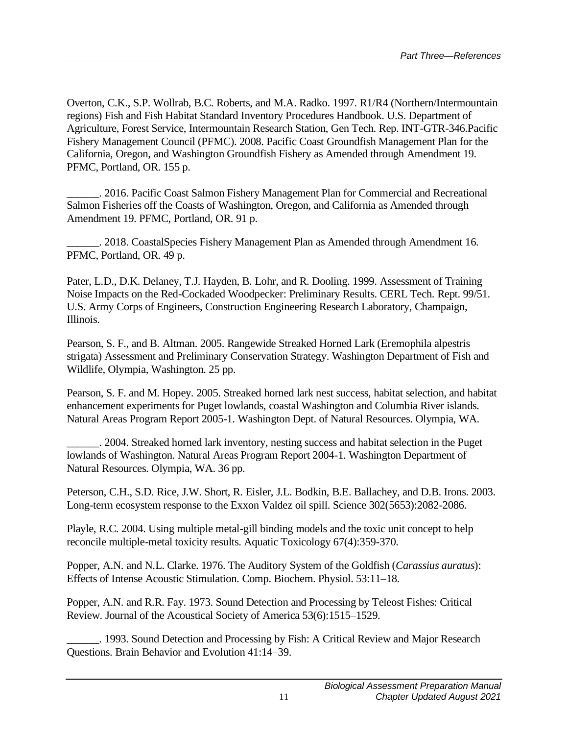Overton, C.K., S.P. Wollrab, B.C. Roberts, and M.A. Radko. 1997. R1/R4 (Northern/Intermountain regions) Fish and Fish Habitat Standard Inventory Procedures Handbook. U.S. Department of Agriculture, Forest Service, Intermountain Research Station, Gen Tech. Rep. INT-GTR-346.Pacific Fishery Management Council (PFMC). 2008. Pacific Coast Groundfish Management Plan for the California, Oregon, and Washington Groundfish Fishery as Amended through Amendment 19. PFMC, Portland, OR. 155 p.

\_\_\_\_\_\_. 2016. Pacific Coast Salmon Fishery Management Plan for Commercial and Recreational Salmon Fisheries off the Coasts of Washington, Oregon, and California as Amended through Amendment 19. PFMC, Portland, OR. 91 p.

\_\_\_\_\_\_. 2018. CoastalSpecies Fishery Management Plan as Amended through Amendment 16. PFMC, Portland, OR. 49 p.

Pater, L.D., D.K. Delaney, T.J. Hayden, B. Lohr, and R. Dooling. 1999. Assessment of Training Noise Impacts on the Red-Cockaded Woodpecker: Preliminary Results. CERL Tech. Rept. 99/51. U.S. Army Corps of Engineers, Construction Engineering Research Laboratory, Champaign, Illinois.

Pearson, S. F., and B. Altman. 2005. Rangewide Streaked Horned Lark (Eremophila alpestris strigata) Assessment and Preliminary Conservation Strategy. Washington Department of Fish and Wildlife, Olympia, Washington. 25 pp.

Pearson, S. F. and M. Hopey. 2005. Streaked horned lark nest success, habitat selection, and habitat enhancement experiments for Puget lowlands, coastal Washington and Columbia River islands. Natural Areas Program Report 2005-1. Washington Dept. of Natural Resources. Olympia, WA.

\_\_\_\_\_\_. 2004. Streaked horned lark inventory, nesting success and habitat selection in the Puget lowlands of Washington. Natural Areas Program Report 2004-1. Washington Department of Natural Resources. Olympia, WA. 36 pp.

Peterson, C.H., S.D. Rice, J.W. Short, R. Eisler, J.L. Bodkin, B.E. Ballachey, and D.B. Irons. 2003. Long-term ecosystem response to the Exxon Valdez oil spill. Science 302(5653):2082-2086.

Playle, R.C. 2004. Using multiple metal-gill binding models and the toxic unit concept to help reconcile multiple-metal toxicity results. Aquatic Toxicology 67(4):359-370.

Popper, A.N. and N.L. Clarke. 1976. The Auditory System of the Goldfish (*Carassius auratus*): Effects of Intense Acoustic Stimulation. Comp. Biochem. Physiol. 53:11–18.

Popper, A.N. and R.R. Fay. 1973. Sound Detection and Processing by Teleost Fishes: Critical Review. Journal of the Acoustical Society of America 53(6):1515–1529.

\_\_\_\_\_\_. 1993. Sound Detection and Processing by Fish: A Critical Review and Major Research Questions. Brain Behavior and Evolution 41:14–39.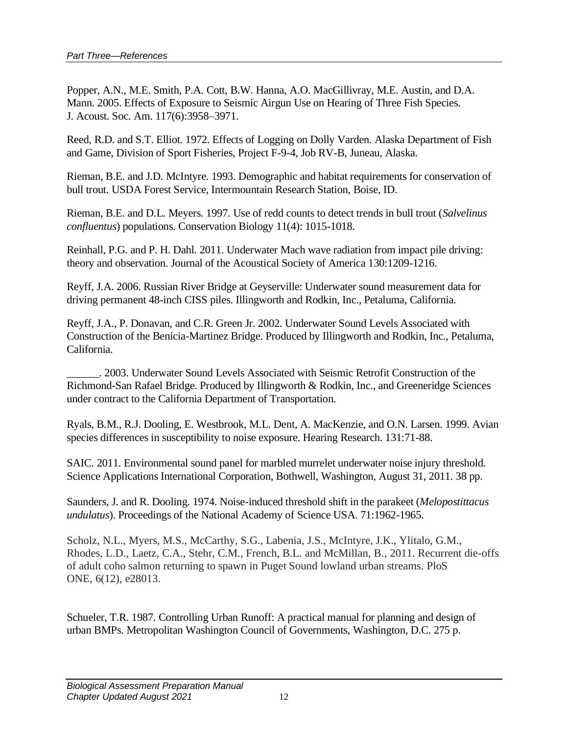Popper, A.N., M.E. Smith, P.A. Cott, B.W. Hanna, A.O. MacGillivray, M.E. Austin, and D.A. Mann. 2005. Effects of Exposure to Seismic Airgun Use on Hearing of Three Fish Species. J. Acoust. Soc. Am. 117(6):3958–3971.

Reed, R.D. and S.T. Elliot. 1972. Effects of Logging on Dolly Varden. Alaska Department of Fish and Game, Division of Sport Fisheries, Project F-9-4, Job RV-B, Juneau, Alaska.

Rieman, B.E. and J.D. McIntyre. 1993. Demographic and habitat requirements for conservation of bull trout. USDA Forest Service, Intermountain Research Station, Boise, ID.

Rieman, B.E. and D.L. Meyers. 1997. Use of redd counts to detect trends in bull trout (*Salvelinus confluentus*) populations. Conservation Biology 11(4): 1015-1018.

Reinhall, P.G. and P. H. Dahl. 2011. Underwater Mach wave radiation from impact pile driving: theory and observation. Journal of the Acoustical Society of America 130:1209-1216.

Reyff, J.A. 2006. Russian River Bridge at Geyserville: Underwater sound measurement data for driving permanent 48-inch CISS piles. Illingworth and Rodkin, Inc., Petaluma, California.

Reyff, J.A., P. Donavan, and C.R. Green Jr. 2002. Underwater Sound Levels Associated with Construction of the Benicia-Martinez Bridge. Produced by Illingworth and Rodkin, Inc., Petaluma, California.

\_\_\_\_\_\_. 2003. Underwater Sound Levels Associated with Seismic Retrofit Construction of the Richmond-San Rafael Bridge. Produced by Illingworth & Rodkin, Inc., and Greeneridge Sciences under contract to the California Department of Transportation.

Ryals, B.M., R.J. Dooling, E. Westbrook, M.L. Dent, A. MacKenzie, and O.N. Larsen. 1999. Avian species differences in susceptibility to noise exposure. Hearing Research. 131:71-88.

SAIC. 2011. Environmental sound panel for marbled murrelet underwater noise injury threshold. Science Applications International Corporation, Bothwell, Washington, August 31, 2011. 38 pp.

Saunders, J. and R. Dooling. 1974. Noise-induced threshold shift in the parakeet (*Melopostittacus undulatus*). Proceedings of the National Academy of Science USA. 71:1962-1965.

Scholz, N.L., Myers, M.S., McCarthy, S.G., Labenia, J.S., McIntyre, J.K., Ylitalo, G.M., Rhodes, L.D., Laetz, C.A., Stehr, C.M., French, B.L. and McMillan, B., 2011. Recurrent die-offs of adult coho salmon returning to spawn in Puget Sound lowland urban streams. PloS ONE, 6(12), e28013.

Schueler, T.R. 1987. Controlling Urban Runoff: A practical manual for planning and design of urban BMPs. Metropolitan Washington Council of Governments, Washington, D.C. 275 p.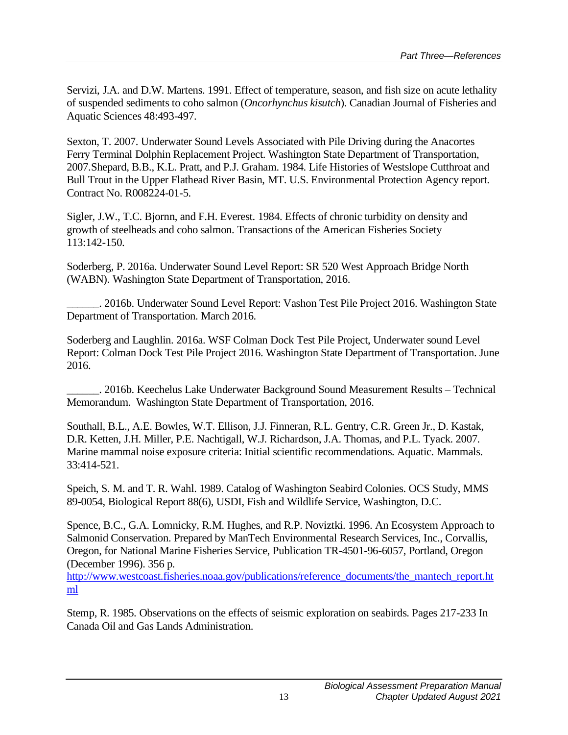Servizi, J.A. and D.W. Martens. 1991. Effect of temperature, season, and fish size on acute lethality of suspended sediments to coho salmon (*Oncorhynchus kisutch*). Canadian Journal of Fisheries and Aquatic Sciences 48:493-497.

Sexton, T. 2007. Underwater Sound Levels Associated with Pile Driving during the Anacortes Ferry Terminal Dolphin Replacement Project. Washington State Department of Transportation, 2007.Shepard, B.B., K.L. Pratt, and P.J. Graham. 1984. Life Histories of Westslope Cutthroat and Bull Trout in the Upper Flathead River Basin, MT. U.S. Environmental Protection Agency report. Contract No. R008224-01-5.

Sigler, J.W., T.C. Bjornn, and F.H. Everest. 1984. Effects of chronic turbidity on density and growth of steelheads and coho salmon. Transactions of the American Fisheries Society 113:142-150.

Soderberg, P. 2016a. Underwater Sound Level Report: SR 520 West Approach Bridge North (WABN). Washington State Department of Transportation, 2016.

\_\_\_\_\_\_. 2016b. Underwater Sound Level Report: Vashon Test Pile Project 2016. Washington State Department of Transportation. March 2016.

Soderberg and Laughlin. 2016a. WSF Colman Dock Test Pile Project, Underwater sound Level Report: Colman Dock Test Pile Project 2016. Washington State Department of Transportation. June 2016.

\_\_\_\_\_\_. 2016b. Keechelus Lake Underwater Background Sound Measurement Results – Technical Memorandum. Washington State Department of Transportation, 2016.

Southall, B.L., A.E. Bowles, W.T. Ellison, J.J. Finneran, R.L. Gentry, C.R. Green Jr., D. Kastak, D.R. Ketten, J.H. Miller, P.E. Nachtigall, W.J. Richardson, J.A. Thomas, and P.L. Tyack. 2007. Marine mammal noise exposure criteria: Initial scientific recommendations. Aquatic. Mammals. 33:414-521.

Speich, S. M. and T. R. Wahl. 1989. Catalog of Washington Seabird Colonies. OCS Study, MMS 89-0054, Biological Report 88(6), USDI, Fish and Wildlife Service, Washington, D.C.

Spence, B.C., G.A. Lomnicky, R.M. Hughes, and R.P. Noviztki. 1996. An Ecosystem Approach to Salmonid Conservation. Prepared by ManTech Environmental Research Services, Inc., Corvallis, Oregon, for National Marine Fisheries Service, Publication TR-4501-96-6057, Portland, Oregon (December 1996). 356 p.

[http://www.westcoast.fisheries.noaa.gov/publications/reference\\_documents/the\\_mantech\\_report.ht](http://www.westcoast.fisheries.noaa.gov/publications/reference_documents/the_mantech_report.html) [ml](http://www.westcoast.fisheries.noaa.gov/publications/reference_documents/the_mantech_report.html)

Stemp, R. 1985. Observations on the effects of seismic exploration on seabirds. Pages 217-233 In Canada Oil and Gas Lands Administration.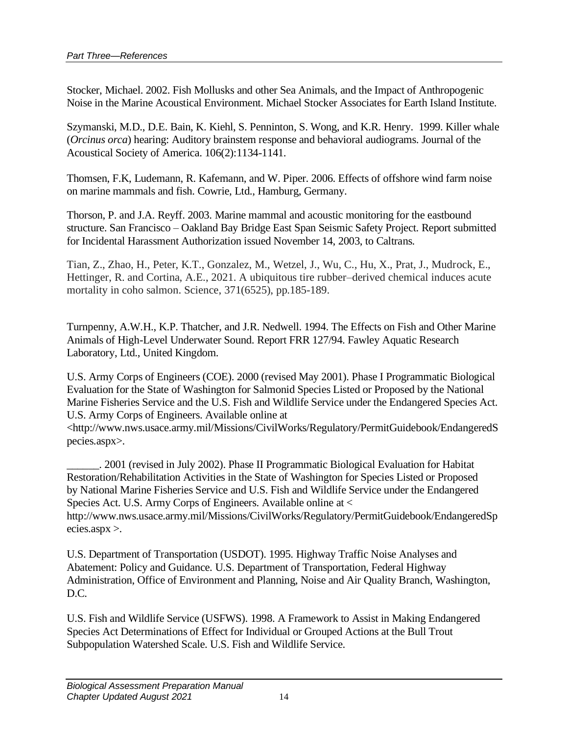Stocker, Michael. 2002. Fish Mollusks and other Sea Animals, and the Impact of Anthropogenic Noise in the Marine Acoustical Environment. Michael Stocker Associates for Earth Island Institute.

Szymanski, M.D., D.E. Bain, K. Kiehl, S. Penninton, S. Wong, and K.R. Henry. 1999. Killer whale (*Orcinus orca*) hearing: Auditory brainstem response and behavioral audiograms. Journal of the Acoustical Society of America. 106(2):1134-1141.

Thomsen, F.K, Ludemann, R. Kafemann, and W. Piper. 2006. Effects of offshore wind farm noise on marine mammals and fish. Cowrie, Ltd., Hamburg, Germany.

Thorson, P. and J.A. Reyff. 2003. Marine mammal and acoustic monitoring for the eastbound structure. San Francisco – Oakland Bay Bridge East Span Seismic Safety Project. Report submitted for Incidental Harassment Authorization issued November 14, 2003, to Caltrans.

Tian, Z., Zhao, H., Peter, K.T., Gonzalez, M., Wetzel, J., Wu, C., Hu, X., Prat, J., Mudrock, E., Hettinger, R. and Cortina, A.E., 2021. A ubiquitous tire rubber–derived chemical induces acute mortality in coho salmon. Science, 371(6525), pp.185-189.

Turnpenny, A.W.H., K.P. Thatcher, and J.R. Nedwell. 1994. The Effects on Fish and Other Marine Animals of High-Level Underwater Sound. Report FRR 127/94. Fawley Aquatic Research Laboratory, Ltd., United Kingdom.

U.S. Army Corps of Engineers (COE). 2000 (revised May 2001). Phase I Programmatic Biological Evaluation for the State of Washington for Salmonid Species Listed or Proposed by the National Marine Fisheries Service and the U.S. Fish and Wildlife Service under the Endangered Species Act. U.S. Army Corps of Engineers. Available online at

<http://www.nws.usace.army.mil/Missions/CivilWorks/Regulatory/PermitGuidebook/EndangeredS pecies.aspx>.

\_\_\_\_\_\_. 2001 (revised in July 2002). Phase II Programmatic Biological Evaluation for Habitat Restoration/Rehabilitation Activities in the State of Washington for Species Listed or Proposed by National Marine Fisheries Service and U.S. Fish and Wildlife Service under the Endangered Species Act. U.S. Army Corps of Engineers. Available online at < http://www.nws.usace.army.mil/Missions/CivilWorks/Regulatory/PermitGuidebook/EndangeredSp ecies.aspx >.

U.S. Department of Transportation (USDOT). 1995. Highway Traffic Noise Analyses and Abatement: Policy and Guidance. U.S. Department of Transportation, Federal Highway Administration, Office of Environment and Planning, Noise and Air Quality Branch, Washington, D.C.

U.S. Fish and Wildlife Service (USFWS). 1998. A Framework to Assist in Making Endangered Species Act Determinations of Effect for Individual or Grouped Actions at the Bull Trout Subpopulation Watershed Scale. U.S. Fish and Wildlife Service.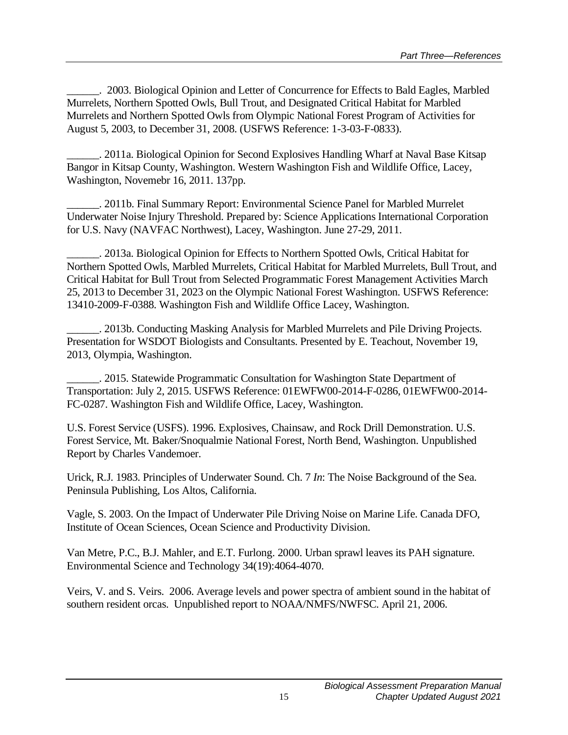\_\_\_\_\_\_. 2003. Biological Opinion and Letter of Concurrence for Effects to Bald Eagles, Marbled Murrelets, Northern Spotted Owls, Bull Trout, and Designated Critical Habitat for Marbled Murrelets and Northern Spotted Owls from Olympic National Forest Program of Activities for August 5, 2003, to December 31, 2008. (USFWS Reference: 1-3-03-F-0833).

\_\_\_\_\_\_. 2011a. Biological Opinion for Second Explosives Handling Wharf at Naval Base Kitsap Bangor in Kitsap County, Washington. Western Washington Fish and Wildlife Office, Lacey, Washington, Novemebr 16, 2011. 137pp.

\_\_\_\_\_\_. 2011b. Final Summary Report: Environmental Science Panel for Marbled Murrelet Underwater Noise Injury Threshold. Prepared by: Science Applications International Corporation for U.S. Navy (NAVFAC Northwest), Lacey, Washington. June 27-29, 2011.

\_\_\_\_\_\_. 2013a. Biological Opinion for Effects to Northern Spotted Owls, Critical Habitat for Northern Spotted Owls, Marbled Murrelets, Critical Habitat for Marbled Murrelets, Bull Trout, and Critical Habitat for Bull Trout from Selected Programmatic Forest Management Activities March 25, 2013 to December 31, 2023 on the Olympic National Forest Washington. USFWS Reference: 13410-2009-F-0388. Washington Fish and Wildlife Office Lacey, Washington.

\_\_\_\_\_\_. 2013b. Conducting Masking Analysis for Marbled Murrelets and Pile Driving Projects. Presentation for WSDOT Biologists and Consultants. Presented by E. Teachout, November 19, 2013, Olympia, Washington.

\_\_\_\_\_\_. 2015. Statewide Programmatic Consultation for Washington State Department of Transportation: July 2, 2015. USFWS Reference: 01EWFW00-2014-F-0286, 01EWFW00-2014- FC-0287. Washington Fish and Wildlife Office, Lacey, Washington.

U.S. Forest Service (USFS). 1996. Explosives, Chainsaw, and Rock Drill Demonstration. U.S. Forest Service, Mt. Baker/Snoqualmie National Forest, North Bend, Washington. Unpublished Report by Charles Vandemoer.

Urick, R.J. 1983. Principles of Underwater Sound. Ch. 7 *In*: The Noise Background of the Sea. Peninsula Publishing, Los Altos, California.

Vagle, S. 2003. On the Impact of Underwater Pile Driving Noise on Marine Life. Canada DFO, Institute of Ocean Sciences, Ocean Science and Productivity Division.

Van Metre, P.C., B.J. Mahler, and E.T. Furlong. 2000. Urban sprawl leaves its PAH signature. Environmental Science and Technology 34(19):4064-4070.

Veirs, V. and S. Veirs. 2006. Average levels and power spectra of ambient sound in the habitat of southern resident orcas. Unpublished report to NOAA/NMFS/NWFSC. April 21, 2006.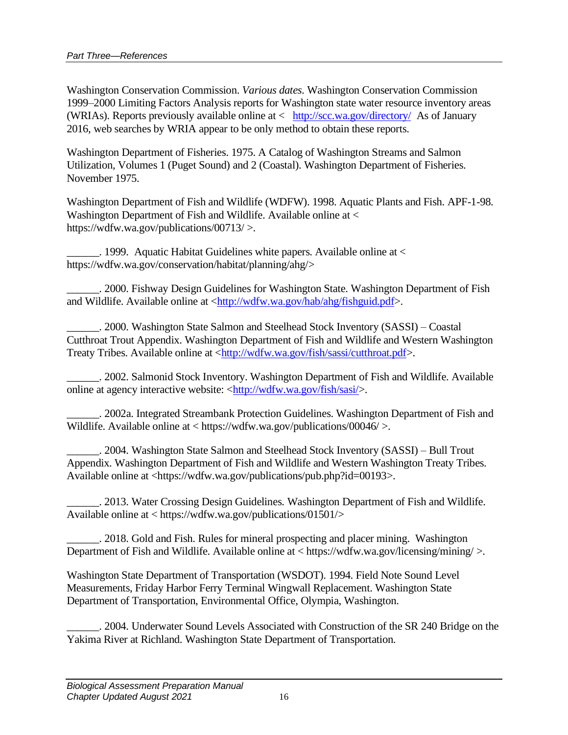Washington Conservation Commission. *Various dates*. Washington Conservation Commission 1999–2000 Limiting Factors Analysis reports for Washington state water resource inventory areas (WRIAs). Reports previously available online at < <http://scc.wa.gov/directory/> As of January 2016, web searches by WRIA appear to be only method to obtain these reports.

Washington Department of Fisheries. 1975. A Catalog of Washington Streams and Salmon Utilization, Volumes 1 (Puget Sound) and 2 (Coastal). Washington Department of Fisheries. November 1975.

Washington Department of Fish and Wildlife (WDFW). 1998. Aquatic Plants and Fish. APF-1-98. Washington Department of Fish and Wildlife. Available online at < https://wdfw.wa.gov/publications/00713/ >.

. 1999. Aquatic Habitat Guidelines white papers. Available online at  $\lt$ https://wdfw.wa.gov/conservation/habitat/planning/ahg/>

\_\_\_\_\_\_. 2000. Fishway Design Guidelines for Washington State. Washington Department of Fish and Wildlife. Available online at [<http://wdfw.wa.gov/hab/ahg/fishguid.pdf>](http://wdfw.wa.gov/hab/ahg/fishguid.pdf).

\_\_\_\_\_\_. 2000. Washington State Salmon and Steelhead Stock Inventory (SASSI) – Coastal Cutthroat Trout Appendix. Washington Department of Fish and Wildlife and Western Washington Treaty Tribes. Available online at [<http://wdfw.wa.gov/fish/sassi/cutthroat.pdf>](http://wdfw.wa.gov/fish/sassi/cutthroat.pdf).

\_\_\_\_\_\_. 2002. Salmonid Stock Inventory. Washington Department of Fish and Wildlife. Available online at agency interactive website: [<http://wdfw.wa.gov/fish/sasi/>](http://wdfw.wa.gov/fish/sasi/).

\_\_\_\_\_\_. 2002a. Integrated Streambank Protection Guidelines. Washington Department of Fish and Wildlife. Available online at < https://wdfw.wa.gov/publications/00046/ >.

\_\_\_\_\_\_. 2004. Washington State Salmon and Steelhead Stock Inventory (SASSI) – Bull Trout Appendix. Washington Department of Fish and Wildlife and Western Washington Treaty Tribes. Available online at <https://wdfw.wa.gov/publications/pub.php?id=00193>.

\_\_\_\_\_\_. 2013. Water Crossing Design Guidelines. Washington Department of Fish and Wildlife. Available online at < https://wdfw.wa.gov/publications/01501/>

\_\_\_\_\_\_. 2018. Gold and Fish. Rules for mineral prospecting and placer mining. Washington Department of Fish and Wildlife. Available online at < https://wdfw.wa.gov/licensing/mining/ >.

Washington State Department of Transportation (WSDOT). 1994. Field Note Sound Level Measurements, Friday Harbor Ferry Terminal Wingwall Replacement. Washington State Department of Transportation, Environmental Office, Olympia, Washington.

\_\_\_\_\_\_. 2004. Underwater Sound Levels Associated with Construction of the SR 240 Bridge on the Yakima River at Richland. Washington State Department of Transportation.